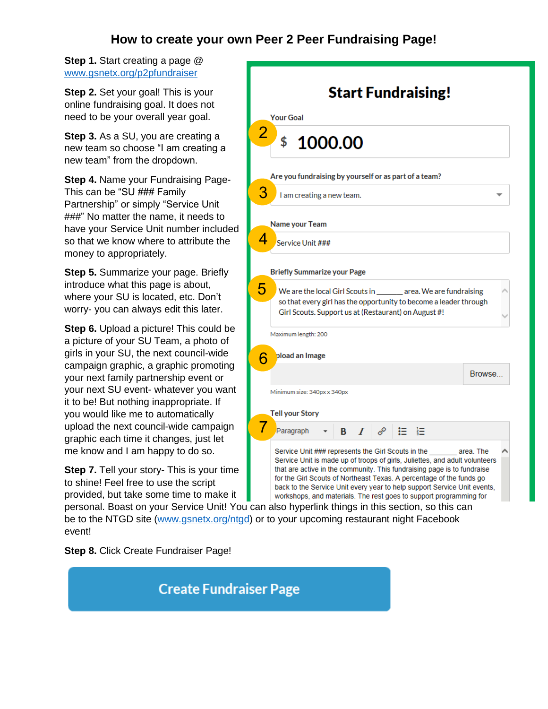# **How to create your own Peer 2 Peer Fundraising Page!**

**Step 1.** Start creating a page @ [www.gsnetx.org/p2pfundraiser](http://www.gsnetx.org/p2pfundraiser)

**Step 2.** Set your goal! This is your online fundraising goal. It does not need to be your overall year goal.

**Step 3.** As a SU, you are creating a new team so choose "I am creating a new team" from the dropdown.

**Step 4.** Name your Fundraising Page-This can be "SU ### Family Partnership" or simply "Service Unit ###" No matter the name, it needs to have your Service Unit number included so that we know where to attribute the money to appropriately.

**Step 5.** Summarize your page. Briefly introduce what this page is about, where your SU is located, etc. Don't worry- you can always edit this later.

**Step 6.** Upload a picture! This could be a picture of your SU Team, a photo of girls in your SU, the next council-wide campaign graphic, a graphic promoting your next family partnership event or your next SU event- whatever you want it to be! But nothing inappropriate. If you would like me to automatically upload the next council-wide campaign graphic each time it changes, just let me know and I am happy to do so.

**Step 7.** Tell your story- This is your time to shine! Feel free to use the script provided, but take some time to make it

**Start Fundraising! Your Goal** 2 \$ 1000.00 Are you fundraising by yourself or as part of a team? 3 I am creating a new team. **Name your Team** 4 Service Unit ### **Briefly Summarize your Page** 5 We are the local Girl Scouts in \_area. We are fundraising so that every girl has the opportunity to become a leader through Girl Scouts. Support us at (Restaurant) on August #! Maximum length: 200 pload an Image 6 Browse... Minimum size: 340px x 340px **Tell your Story** 7Paragraph ≔ 狂 Service Unit ### represents the Girl Scouts in the area. The Service Unit is made up of troops of girls, Juliettes, and adult volunteers that are active in the community. This fundraising page is to fundraise for the Girl Scouts of Northeast Texas. A percentage of the funds go back to the Service Unit every year to help support Service Unit events, workshops, and materials. The rest goes to support programming for

personal. Boast on your Service Unit! You can also hyperlink things in this section, so this can be to the NTGD site [\(www.gsnetx.org/ntgd\)](http://www.gsnetx.org/ntgd) or to your upcoming restaurant night Facebook event!

**Step 8.** Click Create Fundraiser Page!